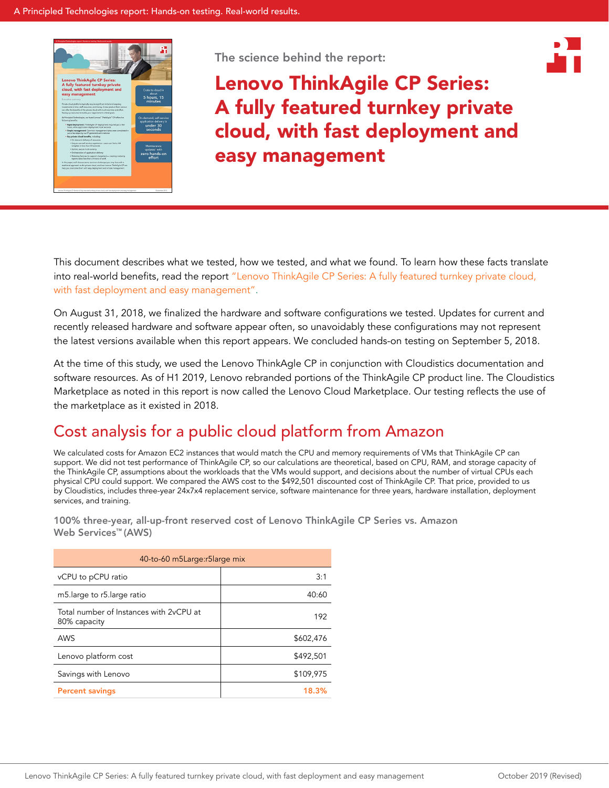

The science behind the report:



Lenovo ThinkAgile CP Series: A fully featured turnkey private cloud, with fast deployment and easy management

This document describes what we tested, how we tested, and what we found. To learn how these facts translate into real-world benefits, read the report "Lenovo ThinkAgile CP Series: A [fully featured turnkey private cloud,](http://facts.pt/8j2vwr)  [with fast deployment and easy](http://facts.pt/8j2vwr) management".

On August 31, 2018, we finalized the hardware and software configurations we tested. Updates for current and recently released hardware and software appear often, so unavoidably these configurations may not represent the latest versions available when this report appears. We concluded hands-on testing on September 5, 2018.

At the time of this study, we used the Lenovo ThinkAgle CP in conjunction with Cloudistics documentation and software resources. As of H1 2019, Lenovo rebranded portions of the ThinkAgile CP product line. The Cloudistics Marketplace as noted in this report is now called the Lenovo Cloud Marketplace. Our testing reflects the use of the marketplace as it existed in 2018.

# Cost analysis for a public cloud platform from Amazon

We calculated costs for Amazon EC2 instances that would match the CPU and memory requirements of VMs that ThinkAgile CP can support. We did not test performance of ThinkAgile CP, so our calculations are theoretical, based on CPU, RAM, and storage capacity of the ThinkAgile CP, assumptions about the workloads that the VMs would support, and decisions about the number of virtual CPUs each physical CPU could support. We compared the AWS cost to the \$492,501 discounted cost of ThinkAgile CP. That price, provided to us by Cloudistics, includes three-year 24x7x4 replacement service, software maintenance for three years, hardware installation, deployment services, and training.

100% three-year, all-up-front reserved cost of Lenovo ThinkAgile CP Series vs. Amazon Web Services™ (AWS)

| 40-to-60 m5Large: r5large mix                           |           |  |  |  |  |
|---------------------------------------------------------|-----------|--|--|--|--|
| vCPU to pCPU ratio                                      | 3:1       |  |  |  |  |
| m5.large to r5.large ratio                              | 40:60     |  |  |  |  |
| Total number of Instances with 2yCPU at<br>80% capacity | 192       |  |  |  |  |
| AWS                                                     | \$602,476 |  |  |  |  |
| Lenovo platform cost                                    | \$492,501 |  |  |  |  |
| Savings with Lenovo                                     | \$109,975 |  |  |  |  |
| <b>Percent savings</b>                                  | 18.3%     |  |  |  |  |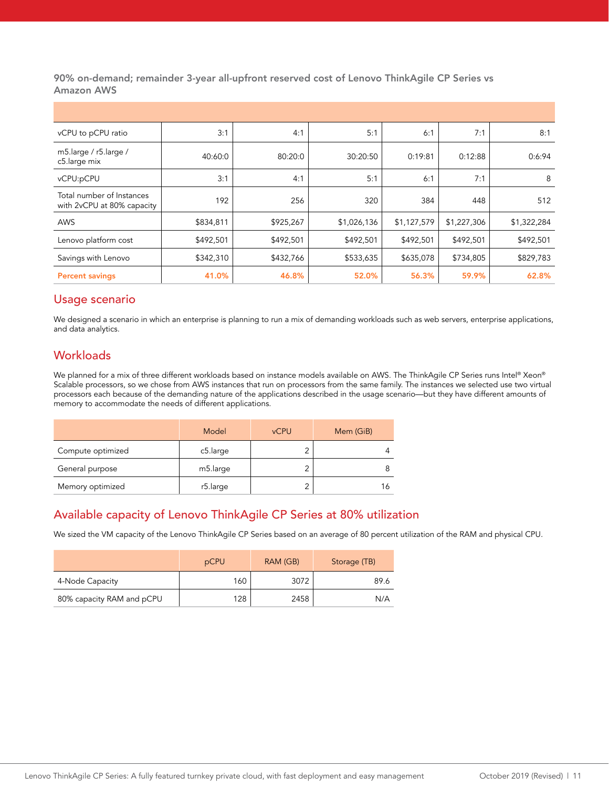90% on-demand; remainder 3-year all-upfront reserved cost of Lenovo ThinkAgile CP Series vs Amazon AWS

| vCPU to pCPU ratio                                      | 3:1       | 4:1       | 5:1         | 6:1         | 7:1         | 8:1         |
|---------------------------------------------------------|-----------|-----------|-------------|-------------|-------------|-------------|
| m5.large / r5.large /<br>c5.large mix                   | 40:60:0   | 80:20:0   | 30:20:50    | 0:19:81     | 0:12:88     | 0:6:94      |
| vCPU:pCPU                                               | 3:1       | 4:1       | 5:1         | 6:1         | 7:1         | 8           |
| Total number of Instances<br>with 2vCPU at 80% capacity | 192       | 256       | 320         | 384         | 448         | 512         |
| AWS                                                     | \$834,811 | \$925,267 | \$1,026,136 | \$1,127,579 | \$1,227,306 | \$1,322,284 |
| Lenovo platform cost                                    | \$492,501 | \$492,501 | \$492,501   | \$492,501   | \$492,501   | \$492,501   |
| Savings with Lenovo                                     | \$342,310 | \$432,766 | \$533,635   | \$635,078   | \$734,805   | \$829,783   |
| <b>Percent savings</b>                                  | 41.0%     | 46.8%     | 52.0%       | 56.3%       | 59.9%       | 62.8%       |

#### Usage scenario

We designed a scenario in which an enterprise is planning to run a mix of demanding workloads such as web servers, enterprise applications, and data analytics.

### **Workloads**

We planned for a mix of three different workloads based on instance models available on AWS. The ThinkAgile CP Series runs Intel® Xeon® Scalable processors, so we chose from AWS instances that run on processors from the same family. The instances we selected use two virtual processors each because of the demanding nature of the applications described in the usage scenario—but they have different amounts of memory to accommodate the needs of different applications.

|                   | Model                 | <b>vCPU</b> | Mem (GiB) |
|-------------------|-----------------------|-------------|-----------|
| Compute optimized | c5.large              | ◠           |           |
| General purpose   | m <sub>5</sub> .large |             |           |
| Memory optimized  | r5.large              | 2           | 16        |

### Available capacity of Lenovo ThinkAgile CP Series at 80% utilization

We sized the VM capacity of the Lenovo ThinkAgile CP Series based on an average of 80 percent utilization of the RAM and physical CPU.

|                           | pCPU | RAM (GB) | Storage (TB) |
|---------------------------|------|----------|--------------|
| 4-Node Capacity           | 160  | 3072     | 89.6         |
| 80% capacity RAM and pCPU | 128  | 2458     | N/A          |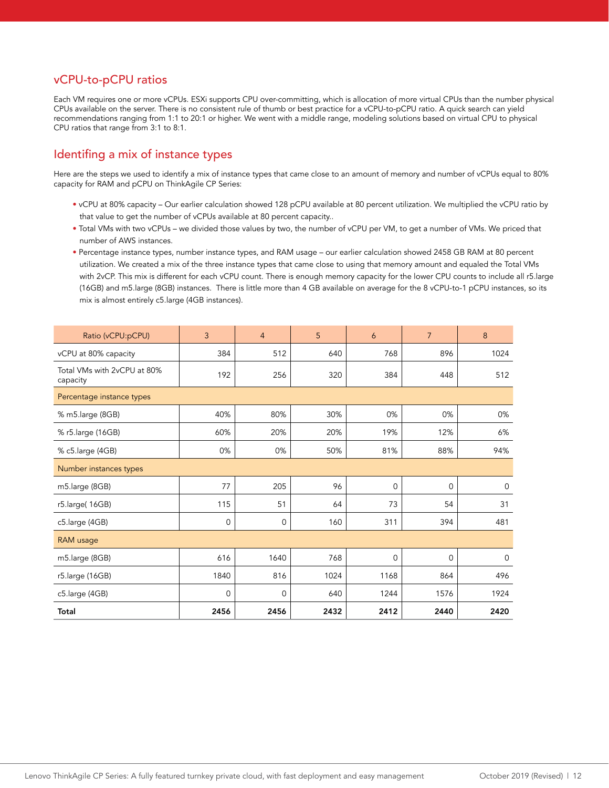### vCPU-to-pCPU ratios

Each VM requires one or more vCPUs. ESXi supports CPU over-committing, which is allocation of more virtual CPUs than the number physical CPUs available on the server. There is no consistent rule of thumb or best practice for a vCPU-to-pCPU ratio. A quick search can yield recommendations ranging from 1:1 to 20:1 or higher. We went with a middle range, modeling solutions based on virtual CPU to physical CPU ratios that range from 3:1 to 8:1.

### Identifing a mix of instance types

Here are the steps we used to identify a mix of instance types that came close to an amount of memory and number of vCPUs equal to 80% capacity for RAM and pCPU on ThinkAgile CP Series:

- vCPU at 80% capacity Our earlier calculation showed 128 pCPU available at 80 percent utilization. We multiplied the vCPU ratio by that value to get the number of vCPUs available at 80 percent capacity..
- Total VMs with two vCPUs we divided those values by two, the number of vCPU per VM, to get a number of VMs. We priced that number of AWS instances.
- Percentage instance types, number instance types, and RAM usage our earlier calculation showed 2458 GB RAM at 80 percent utilization. We created a mix of the three instance types that came close to using that memory amount and equaled the Total VMs with 2vCP. This mix is different for each vCPU count. There is enough memory capacity for the lower CPU counts to include all r5.large (16GB) and m5.large (8GB) instances. There is little more than 4 GB available on average for the 8 vCPU-to-1 pCPU instances, so its mix is almost entirely c5.large (4GB instances).

| Ratio (vCPU:pCPU)                       | 3            | $\overline{4}$ | 5    | 6        | $\overline{7}$ | 8           |
|-----------------------------------------|--------------|----------------|------|----------|----------------|-------------|
| vCPU at 80% capacity                    | 384          | 512            | 640  | 768      | 896            | 1024        |
| Total VMs with 2vCPU at 80%<br>capacity | 192          | 256            | 320  | 384      | 448            | 512         |
| Percentage instance types               |              |                |      |          |                |             |
| % m5.large (8GB)                        | 40%          | 80%            | 30%  | 0%       | 0%             | 0%          |
| % r5.large (16GB)                       | 60%          | 20%            | 20%  | 19%      | 12%            | 6%          |
| % c5.large (4GB)                        | 0%           | 0%             | 50%  | 81%      | 88%            | 94%         |
| Number instances types                  |              |                |      |          |                |             |
| m5.large (8GB)                          | 77           | 205            | 96   | $\Omega$ | $\mathbf 0$    | $\mathbf 0$ |
| r5.large(16GB)                          | 115          | 51             | 64   | 73       | 54             | 31          |
| c5.large (4GB)                          | $\mathbf 0$  | $\mathbf{0}$   | 160  | 311      | 394            | 481         |
| <b>RAM</b> usage                        |              |                |      |          |                |             |
| m5.large (8GB)                          | 616          | 1640           | 768  | $\Omega$ | $\mathbf 0$    | $\mathbf 0$ |
| r5.large (16GB)                         | 1840         | 816            | 1024 | 1168     | 864            | 496         |
| c5.large (4GB)                          | $\mathbf{0}$ | $\mathbf{0}$   | 640  | 1244     | 1576           | 1924        |
| Total                                   | 2456         | 2456           | 2432 | 2412     | 2440           | 2420        |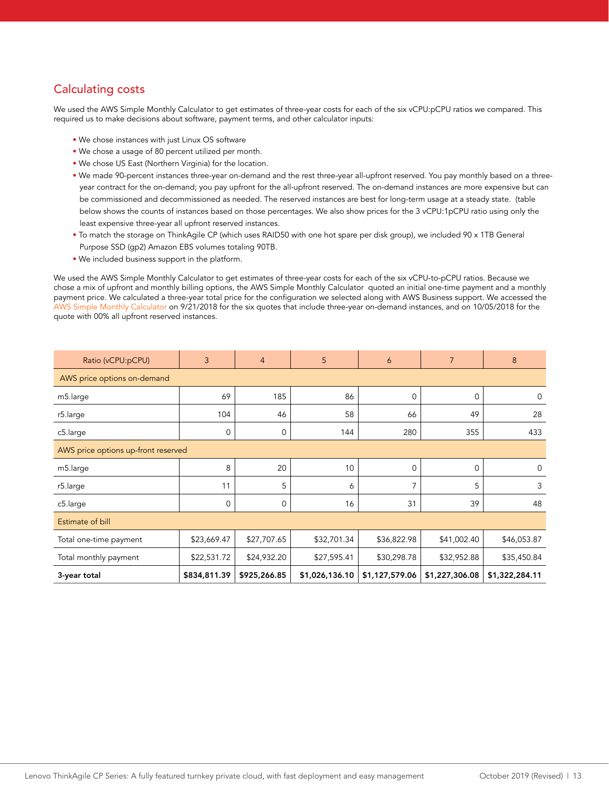### Calculating costs

We used the AWS Simple Monthly Calculator to get estimates of three-year costs for each of the six vCPU:pCPU ratios we compared. This required us to make decisions about software, payment terms, and other calculator inputs:

- We chose instances with just Linux OS software
- We chose a usage of 80 percent utilized per month.
- We chose US East (Northern Virginia) for the location.
- We made 90-percent instances three-year on-demand and the rest three-year all-upfront reserved. You pay monthly based on a threeyear contract for the on-demand; you pay upfront for the all-upfront reserved. The on-demand instances are more expensive but can be commissioned and decommissioned as needed. The reserved instances are best for long-term usage at a steady state. (table below shows the counts of instances based on those percentages. We also show prices for the 3 vCPU:1pCPU ratio using only the least expensive three-year all upfront reserved instances.
- To match the storage on ThinkAgile CP (which uses RAID50 with one hot spare per disk group), we included 90 x 1TB General Purpose SSD (gp2) Amazon EBS volumes totaling 90TB.
- We included business support in the platform.

We used the AWS Simple Monthly Calculator to get estimates of three-year costs for each of the six vCPU-to-pCPU ratios. Because we chose a mix of upfront and monthly billing options, the AWS Simple Monthly Calculator quoted an initial one-time payment and a monthly payment price. We calculated a three-year total price for the configuration we selected along with AWS Business support. We accessed the [AWS Simple Monthly Calculator](https://calculator.s3.amazonaws.com/index.html) on 9/21/2018 for the six quotes that include three-year on-demand instances, and on 10/05/2018 for the quote with 00% all upfront reserved instances.

| Ratio (vCPU:pCPU)                   | 3            | $\overline{4}$ | 5              | 6              | $\overline{7}$ | 8              |
|-------------------------------------|--------------|----------------|----------------|----------------|----------------|----------------|
| AWS price options on-demand         |              |                |                |                |                |                |
| m5.large                            | 69           | 185            | 86             | $\mathbf 0$    | $\mathbf 0$    | 0              |
| r5.large                            | 104          | 46             | 58             | 66             | 49             | 28             |
| c5.large                            | 0            | 0              | 144            | 280            | 355            | 433            |
| AWS price options up-front reserved |              |                |                |                |                |                |
| m5.large                            | 8            | 20             | 10             | $\mathbf 0$    | $\mathbf 0$    | $\mathbf 0$    |
| r5.large                            | 11           | 5              | 6              | $\overline{7}$ | 5              | 3              |
| c5.large                            | 0            | 0              | 16             | 31             | 39             | 48             |
| Estimate of bill                    |              |                |                |                |                |                |
| Total one-time payment              | \$23,669.47  | \$27,707.65    | \$32,701.34    | \$36,822.98    | \$41,002.40    | \$46,053.87    |
| Total monthly payment               | \$22,531.72  | \$24,932.20    | \$27,595.41    | \$30,298.78    | \$32,952.88    | \$35,450.84    |
| 3-year total                        | \$834,811.39 | \$925,266.85   | \$1,026,136.10 | \$1,127,579.06 | \$1,227,306.08 | \$1,322,284.11 |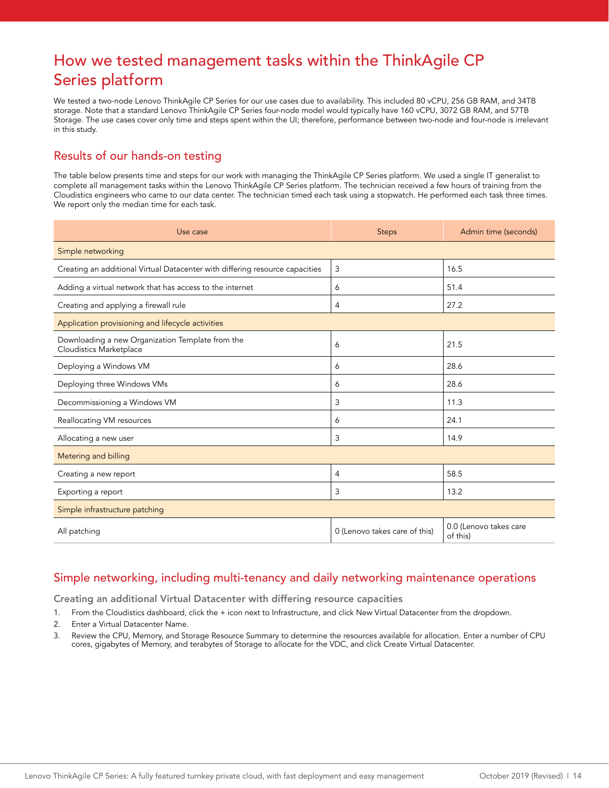## How we tested management tasks within the ThinkAgile CP Series platform

We tested a two-node Lenovo ThinkAgile CP Series for our use cases due to availability. This included 80 vCPU, 256 GB RAM, and 34TB storage. Note that a standard Lenovo ThinkAgile CP Series four-node model would typically have 160 vCPU, 3072 GB RAM, and 57TB Storage. The use cases cover only time and steps spent within the UI; therefore, performance between two-node and four-node is irrelevant in this study.

### Results of our hands-on testing

The table below presents time and steps for our work with managing the ThinkAgile CP Series platform. We used a single IT generalist to complete all management tasks within the Lenovo ThinkAgile CP Series platform. The technician received a few hours of training from the Cloudistics engineers who came to our data center. The technician timed each task using a stopwatch. He performed each task three times. We report only the median time for each task.

| Use case                                                                           | <b>Steps</b>                  | Admin time (seconds)               |  |  |  |  |
|------------------------------------------------------------------------------------|-------------------------------|------------------------------------|--|--|--|--|
| Simple networking                                                                  |                               |                                    |  |  |  |  |
| Creating an additional Virtual Datacenter with differing resource capacities       | 3                             | 16.5                               |  |  |  |  |
| Adding a virtual network that has access to the internet                           | 6                             | 51.4                               |  |  |  |  |
| Creating and applying a firewall rule                                              | $\overline{4}$                | 27.2                               |  |  |  |  |
| Application provisioning and lifecycle activities                                  |                               |                                    |  |  |  |  |
| Downloading a new Organization Template from the<br><b>Cloudistics Marketplace</b> | 6                             | 21.5                               |  |  |  |  |
| Deploying a Windows VM                                                             | 6                             | 28.6                               |  |  |  |  |
| Deploying three Windows VMs                                                        | 6                             | 28.6                               |  |  |  |  |
| Decommissioning a Windows VM                                                       | 3                             | 11.3                               |  |  |  |  |
| Reallocating VM resources                                                          | 6                             | 24.1                               |  |  |  |  |
| Allocating a new user                                                              | 3                             | 14.9                               |  |  |  |  |
| Metering and billing                                                               |                               |                                    |  |  |  |  |
| Creating a new report                                                              | 4                             | 58.5                               |  |  |  |  |
| Exporting a report                                                                 | 3                             | 13.2                               |  |  |  |  |
| Simple infrastructure patching                                                     |                               |                                    |  |  |  |  |
| All patching                                                                       | 0 (Lenovo takes care of this) | 0.0 (Lenovo takes care<br>of this) |  |  |  |  |

### Simple networking, including multi-tenancy and daily networking maintenance operations

Creating an additional Virtual Datacenter with differing resource capacities

- 1. From the Cloudistics dashboard, click the + icon next to Infrastructure, and click New Virtual Datacenter from the dropdown.
- 2. Enter a Virtual Datacenter Name.
- 3. Review the CPU, Memory, and Storage Resource Summary to determine the resources available for allocation. Enter a number of CPU cores, gigabytes of Memory, and terabytes of Storage to allocate for the VDC, and click Create Virtual Datacenter.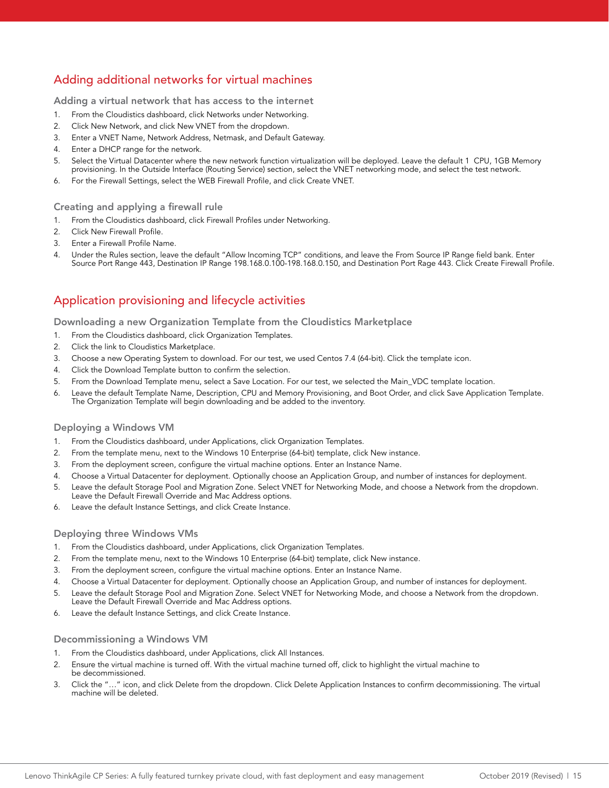## Adding additional networks for virtual machines

Adding a virtual network that has access to the internet

- 1. From the Cloudistics dashboard, click Networks under Networking.
- 2. Click New Network, and click New VNET from the dropdown.
- 3. Enter a VNET Name, Network Address, Netmask, and Default Gateway.
- 4. Enter a DHCP range for the network.
- 5. Select the Virtual Datacenter where the new network function virtualization will be deployed. Leave the default 1 CPU, 1GB Memory provisioning. In the Outside Interface (Routing Service) section, select the VNET networking mode, and select the test network.
- 6. For the Firewall Settings, select the WEB Firewall Profile, and click Create VNET.

#### Creating and applying a firewall rule

- 1. From the Cloudistics dashboard, click Firewall Profiles under Networking.
- 2. Click New Firewall Profile.
- 3. Enter a Firewall Profile Name.
- 4. Under the Rules section, leave the default "Allow Incoming TCP" conditions, and leave the From Source IP Range field bank. Enter Source Port Range 443, Destination IP Range 198.168.0.100-198.168.0.150, and Destination Port Rage 443. Click Create Firewall Profile.

### Application provisioning and lifecycle activities

Downloading a new Organization Template from the Cloudistics Marketplace

- 1. From the Cloudistics dashboard, click Organization Templates.
- 2. Click the link to Cloudistics Marketplace.
- 3. Choose a new Operating System to download. For our test, we used Centos 7.4 (64-bit). Click the template icon.
- 4. Click the Download Template button to confirm the selection.
- 5. From the Download Template menu, select a Save Location. For our test, we selected the Main\_VDC template location.
- 6. Leave the default Template Name, Description, CPU and Memory Provisioning, and Boot Order, and click Save Application Template. The Organization Template will begin downloading and be added to the inventory.

#### Deploying a Windows VM

- 1. From the Cloudistics dashboard, under Applications, click Organization Templates.
- 2. From the template menu, next to the Windows 10 Enterprise (64-bit) template, click New instance.
- 3. From the deployment screen, configure the virtual machine options. Enter an Instance Name.
- 4. Choose a Virtual Datacenter for deployment. Optionally choose an Application Group, and number of instances for deployment.
- 5. Leave the default Storage Pool and Migration Zone. Select VNET for Networking Mode, and choose a Network from the dropdown. Leave the Default Firewall Override and Mac Address options.
- 6. Leave the default Instance Settings, and click Create Instance.

#### Deploying three Windows VMs

- 1. From the Cloudistics dashboard, under Applications, click Organization Templates.
- 2. From the template menu, next to the Windows 10 Enterprise (64-bit) template, click New instance.
- 3. From the deployment screen, configure the virtual machine options. Enter an Instance Name.
- 4. Choose a Virtual Datacenter for deployment. Optionally choose an Application Group, and number of instances for deployment.
- 5. Leave the default Storage Pool and Migration Zone. Select VNET for Networking Mode, and choose a Network from the dropdown. Leave the Default Firewall Override and Mac Address options.
- 6. Leave the default Instance Settings, and click Create Instance.

#### Decommissioning a Windows VM

- 1. From the Cloudistics dashboard, under Applications, click All Instances.
- 2. Ensure the virtual machine is turned off. With the virtual machine turned off, click to highlight the virtual machine to be decommissioned.
- 3. Click the "…" icon, and click Delete from the dropdown. Click Delete Application Instances to confirm decommissioning. The virtual machine will be deleted.